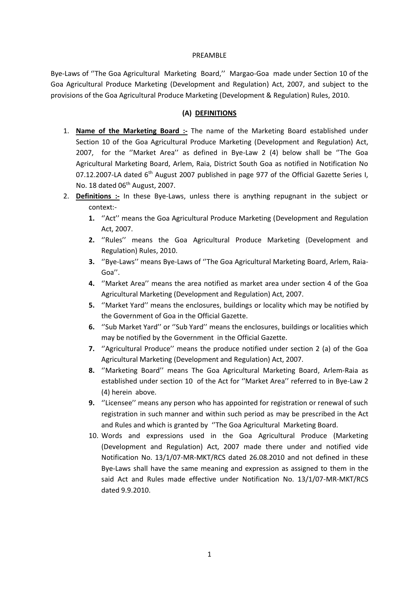#### PREAMBLE

Bye-Laws of ''The Goa Agricultural Marketing Board,'' Margao-Goa made under Section 10 of the Goa Agricultural Produce Marketing (Development and Regulation) Act, 2007, and subject to the provisions of the Goa Agricultural Produce Marketing (Development & Regulation) Rules, 2010.

### **(A) DEFINITIONS**

- 1. **Name of the Marketing Board :-** The name of the Marketing Board established under Section 10 of the Goa Agricultural Produce Marketing (Development and Regulation) Act, 2007, for the ''Market Area'' as defined in Bye-Law 2 (4) below shall be ''The Goa Agricultural Marketing Board, Arlem, Raia, District South Goa as notified in Notification No 07.12.2007-LA dated 6<sup>th</sup> August 2007 published in page 977 of the Official Gazette Series I, No. 18 dated 06<sup>th</sup> August, 2007.
- 2. **Definitions :-** In these Bye-Laws, unless there is anything repugnant in the subject or context:-
	- **1.** ''Act'' means the Goa Agricultural Produce Marketing (Development and Regulation Act, 2007.
	- **2.** ''Rules'' means the Goa Agricultural Produce Marketing (Development and Regulation) Rules, 2010.
	- **3.** ''Bye-Laws'' means Bye-Laws of ''The Goa Agricultural Marketing Board, Arlem, Raia-Goa''.
	- **4.** ''Market Area'' means the area notified as market area under section 4 of the Goa Agricultural Marketing (Development and Regulation) Act, 2007.
	- **5.** ''Market Yard'' means the enclosures, buildings or locality which may be notified by the Government of Goa in the Official Gazette.
	- **6.** ''Sub Market Yard'' or ''Sub Yard'' means the enclosures, buildings or localities which may be notified by the Government in the Official Gazette.
	- **7.** ''Agricultural Produce'' means the produce notified under section 2 (a) of the Goa Agricultural Marketing (Development and Regulation) Act, 2007.
	- **8.** ''Marketing Board'' means The Goa Agricultural Marketing Board, Arlem-Raia as established under section 10 of the Act for ''Market Area'' referred to in Bye-Law 2 (4) herein above.
	- **9.** ''Licensee'' means any person who has appointed for registration or renewal of such registration in such manner and within such period as may be prescribed in the Act and Rules and which is granted by ''The Goa Agricultural Marketing Board.
	- 10. Words and expressions used in the Goa Agricultural Produce (Marketing (Development and Regulation) Act, 2007 made there under and notified vide Notification No. 13/1/07-MR-MKT/RCS dated 26.08.2010 and not defined in these Bye-Laws shall have the same meaning and expression as assigned to them in the said Act and Rules made effective under Notification No. 13/1/07-MR-MKT/RCS dated 9.9.2010.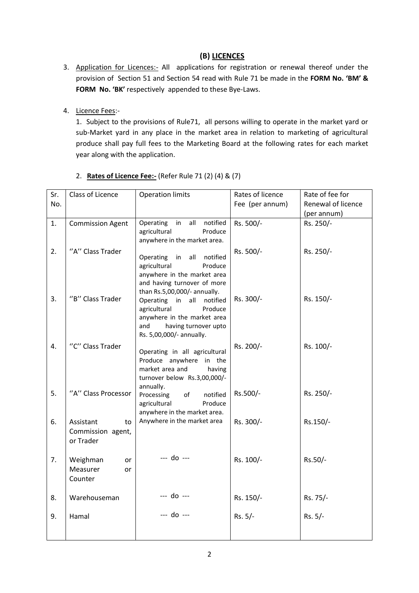## **(B) LICENCES**

- 3. Application for Licences:- All applications for registration or renewal thereof under the provision of Section 51 and Section 54 read with Rule 71 be made in the **FORM No. 'BM' & FORM No. 'BK'** respectively appended to these Bye-Laws.
- 4. Licence Fees:-

1. Subject to the provisions of Rule71, all persons willing to operate in the market yard or sub-Market yard in any place in the market area in relation to marketing of agricultural produce shall pay full fees to the Marketing Board at the following rates for each market year along with the application.

| Sr. | Class of Licence        | <b>Operation limits</b>                                  | Rates of licence | Rate of fee for    |
|-----|-------------------------|----------------------------------------------------------|------------------|--------------------|
| No. |                         |                                                          | Fee (per annum)  | Renewal of licence |
|     |                         |                                                          |                  | (per annum)        |
| 1.  | <b>Commission Agent</b> | Operating<br>all<br>notified<br>in                       | Rs. 500/-        | Rs. 250/-          |
|     |                         | agricultural<br>Produce                                  |                  |                    |
|     |                         | anywhere in the market area.                             |                  |                    |
| 2.  | "A" Class Trader        |                                                          | Rs. 500/-        | Rs. 250/-          |
|     |                         | Operating<br>in<br>all<br>notified                       |                  |                    |
|     |                         | agricultural<br>Produce<br>anywhere in the market area   |                  |                    |
|     |                         | and having turnover of more                              |                  |                    |
|     |                         | than Rs.5,00,000/- annually.                             |                  |                    |
| 3.  | "B" Class Trader        | Operating in<br>all notified                             | Rs. 300/-        | Rs. 150/-          |
|     |                         | agricultural<br>Produce                                  |                  |                    |
|     |                         | anywhere in the market area                              |                  |                    |
|     |                         | having turnover upto<br>and                              |                  |                    |
|     |                         | Rs. 5,00,000/- annually.                                 |                  |                    |
| 4.  | "C" Class Trader        |                                                          | Rs. 200/-        | Rs. 100/-          |
|     |                         | Operating in all agricultural<br>Produce anywhere in the |                  |                    |
|     |                         | market area and<br>having                                |                  |                    |
|     |                         | turnover below Rs.3,00,000/-                             |                  |                    |
|     |                         | annually.                                                |                  |                    |
| 5.  | "A" Class Processor     | of<br>Processing<br>notified                             | Rs.500/-         | Rs. 250/-          |
|     |                         | agricultural<br>Produce                                  |                  |                    |
|     |                         | anywhere in the market area.                             |                  |                    |
| 6.  | Assistant<br>to         | Anywhere in the market area                              | Rs. 300/-        | Rs.150/-           |
|     | Commission agent,       |                                                          |                  |                    |
|     | or Trader               |                                                          |                  |                    |
|     |                         | --- do ---                                               |                  |                    |
| 7.  | Weighman<br><b>or</b>   |                                                          | Rs. 100/-        | Rs.50/-            |
|     | Measurer<br>or          |                                                          |                  |                    |
|     | Counter                 |                                                          |                  |                    |
| 8.  | Warehouseman            | --- do ---                                               | Rs. 150/-        | Rs. 75/-           |
|     |                         |                                                          |                  |                    |
| 9.  | Hamal                   | $- -$ do $- -$                                           | Rs. 5/-          | $Rs. 5/-$          |
|     |                         |                                                          |                  |                    |
|     |                         |                                                          |                  |                    |
|     |                         |                                                          |                  |                    |

### 2. **Rates of Licence Fee:-** (Refer Rule 71 (2) (4) & (7)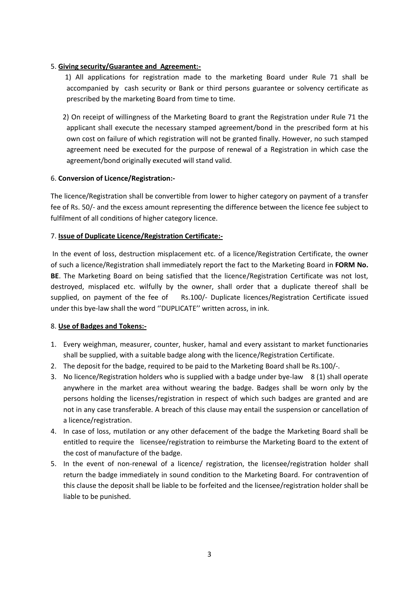### 5. **Giving security/Guarantee and Agreement:-**

- 1) All applications for registration made to the marketing Board under Rule 71 shall be accompanied by cash security or Bank or third persons guarantee or solvency certificate as prescribed by the marketing Board from time to time.
- 2) On receipt of willingness of the Marketing Board to grant the Registration under Rule 71 the applicant shall execute the necessary stamped agreement/bond in the prescribed form at his own cost on failure of which registration will not be granted finally. However, no such stamped agreement need be executed for the purpose of renewal of a Registration in which case the agreement/bond originally executed will stand valid.

### 6. **Conversion of Licence/Registration:-**

The licence/Registration shall be convertible from lower to higher category on payment of a transfer fee of Rs. 50/- and the excess amount representing the difference between the licence fee subject to fulfilment of all conditions of higher category licence.

### 7. **Issue of Duplicate Licence/Registration Certificate:-**

In the event of loss, destruction misplacement etc. of a licence/Registration Certificate, the owner of such a licence/Registration shall immediately report the fact to the Marketing Board in **FORM No. BE**. The Marketing Board on being satisfied that the licence/Registration Certificate was not lost, destroyed, misplaced etc. wilfully by the owner, shall order that a duplicate thereof shall be supplied, on payment of the fee of Rs.100/- Duplicate licences/Registration Certificate issued under this bye-law shall the word ''DUPLICATE'' written across, in ink.

#### 8. **Use of Badges and Tokens:-**

- 1. Every weighman, measurer, counter, husker, hamal and every assistant to market functionaries shall be supplied, with a suitable badge along with the licence/Registration Certificate.
- 2. The deposit for the badge, required to be paid to the Marketing Board shall be Rs.100/-.
- 3. No licence/Registration holders who is supplied with a badge under bye-law 8 (1) shall operate anywhere in the market area without wearing the badge. Badges shall be worn only by the persons holding the licenses/registration in respect of which such badges are granted and are not in any case transferable. A breach of this clause may entail the suspension or cancellation of a licence/registration.
- 4. In case of loss, mutilation or any other defacement of the badge the Marketing Board shall be entitled to require the licensee/registration to reimburse the Marketing Board to the extent of the cost of manufacture of the badge.
- 5. In the event of non-renewal of a licence/ registration, the licensee/registration holder shall return the badge immediately in sound condition to the Marketing Board. For contravention of this clause the deposit shall be liable to be forfeited and the licensee/registration holder shall be liable to be punished.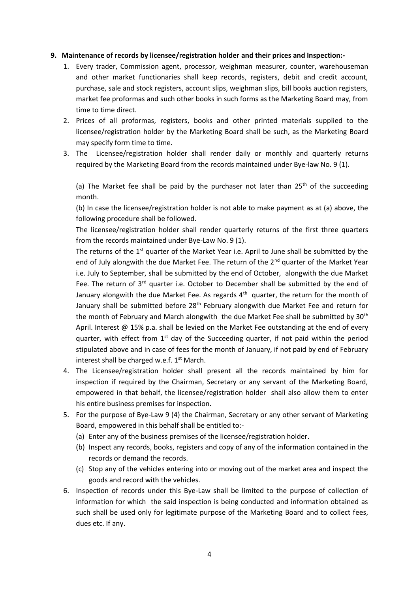#### **9. Maintenance of records by licensee/registration holder and their prices and Inspection:-**

- 1. Every trader, Commission agent, processor, weighman measurer, counter, warehouseman and other market functionaries shall keep records, registers, debit and credit account, purchase, sale and stock registers, account slips, weighman slips, bill books auction registers, market fee proformas and such other books in such forms as the Marketing Board may, from time to time direct.
- 2. Prices of all proformas, registers, books and other printed materials supplied to the licensee/registration holder by the Marketing Board shall be such, as the Marketing Board may specify form time to time.
- 3. The Licensee/registration holder shall render daily or monthly and quarterly returns required by the Marketing Board from the records maintained under Bye-law No. 9 (1).

(a) The Market fee shall be paid by the purchaser not later than  $25<sup>th</sup>$  of the succeeding month.

(b) In case the licensee/registration holder is not able to make payment as at (a) above, the following procedure shall be followed.

The licensee/registration holder shall render quarterly returns of the first three quarters from the records maintained under Bye-Law No. 9 (1).

The returns of the  $1<sup>st</sup>$  quarter of the Market Year i.e. April to June shall be submitted by the end of July alongwith the due Market Fee. The return of the 2<sup>nd</sup> quarter of the Market Year i.e. July to September, shall be submitted by the end of October, alongwith the due Market Fee. The return of 3<sup>rd</sup> quarter i.e. October to December shall be submitted by the end of January alongwith the due Market Fee. As regards 4<sup>th</sup> quarter, the return for the month of January shall be submitted before  $28<sup>th</sup>$  February alongwith due Market Fee and return for the month of February and March alongwith the due Market Fee shall be submitted by 30<sup>th</sup> April. Interest @ 15% p.a. shall be levied on the Market Fee outstanding at the end of every quarter, with effect from  $1<sup>st</sup>$  day of the Succeeding quarter, if not paid within the period stipulated above and in case of fees for the month of January, if not paid by end of February interest shall be charged w.e.f.  $1<sup>st</sup>$  March.

- 4. The Licensee/registration holder shall present all the records maintained by him for inspection if required by the Chairman, Secretary or any servant of the Marketing Board, empowered in that behalf, the licensee/registration holder shall also allow them to enter his entire business premises for inspection.
- 5. For the purpose of Bye-Law 9 (4) the Chairman, Secretary or any other servant of Marketing Board, empowered in this behalf shall be entitled to:-
	- (a) Enter any of the business premises of the licensee/registration holder.
	- (b) Inspect any records, books, registers and copy of any of the information contained in the records or demand the records.
	- (c) Stop any of the vehicles entering into or moving out of the market area and inspect the goods and record with the vehicles.
- 6. Inspection of records under this Bye-Law shall be limited to the purpose of collection of information for which the said inspection is being conducted and information obtained as such shall be used only for legitimate purpose of the Marketing Board and to collect fees, dues etc. If any.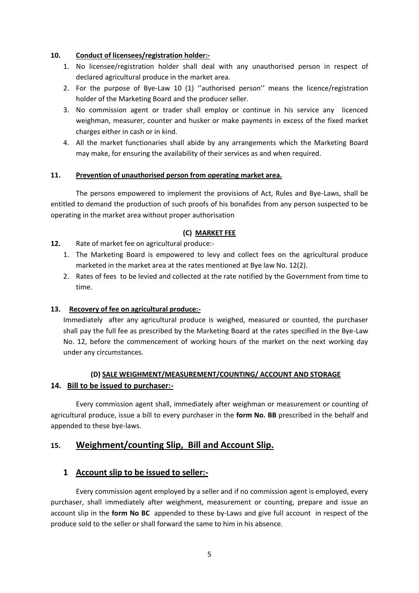### **10. Conduct of licensees/registration holder:-**

- 1. No licensee/registration holder shall deal with any unauthorised person in respect of declared agricultural produce in the market area.
- 2. For the purpose of Bye-Law 10 (1) ''authorised person'' means the licence/registration holder of the Marketing Board and the producer seller.
- 3. No commission agent or trader shall employ or continue in his service any licenced weighman, measurer, counter and husker or make payments in excess of the fixed market charges either in cash or in kind.
- 4. All the market functionaries shall abide by any arrangements which the Marketing Board may make, for ensuring the availability of their services as and when required.

### **11. Prevention of unauthorised person from operating market area.**

The persons empowered to implement the provisions of Act, Rules and Bye-Laws, shall be entitled to demand the production of such proofs of his bonafides from any person suspected to be operating in the market area without proper authorisation

### **(C) MARKET FEE**

- **12.** Rate of market fee on agricultural produce:-
	- 1. The Marketing Board is empowered to levy and collect fees on the agricultural produce marketed in the market area at the rates mentioned at Bye law No. 12(2).
	- 2. Rates of fees to be levied and collected at the rate notified by the Government from time to time.

### **13. Recovery of fee on agricultural produce:-**

Immediately after any agricultural produce is weighed, measured or counted, the purchaser shall pay the full fee as prescribed by the Marketing Board at the rates specified in the Bye-Law No. 12, before the commencement of working hours of the market on the next working day under any circumstances.

# **(D) SALE WEIGHMENT/MEASUREMENT/COUNTING/ ACCOUNT AND STORAGE 14. Bill to be issued to purchaser:-**

Every commission agent shall, immediately after weighman or measurement or counting of agricultural produce, issue a bill to every purchaser in the **form No. BB** prescribed in the behalf and appended to these bye-laws.

## **15. Weighment/counting Slip, Bill and Account Slip.**

## **1 Account slip to be issued to seller:-**

Every commission agent employed by a seller and if no commission agent is employed, every purchaser, shall immediately after weighment, measurement or counting, prepare and issue an account slip in the **form No BC** appended to these by-Laws and give full account in respect of the produce sold to the seller or shall forward the same to him in his absence.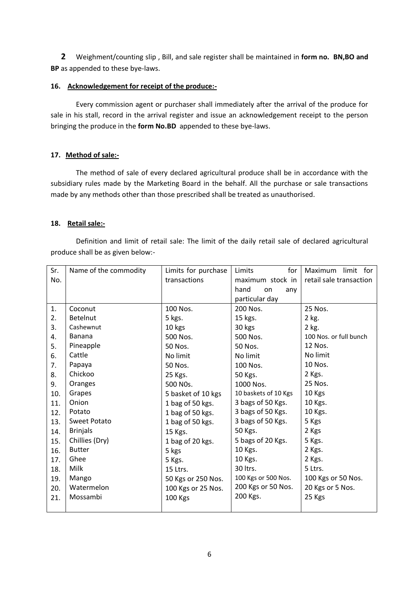**2** Weighment/counting slip , Bill, and sale register shall be maintained in **form no. BN,BO and BP** as appended to these bye-laws.

#### **16. Acknowledgement for receipt of the produce:-**

Every commission agent or purchaser shall immediately after the arrival of the produce for sale in his stall, record in the arrival register and issue an acknowledgement receipt to the person bringing the produce in the **form No.BD** appended to these bye-laws.

#### **17. Method of sale:-**

The method of sale of every declared agricultural produce shall be in accordance with the subsidiary rules made by the Marketing Board in the behalf. All the purchase or sale transactions made by any methods other than those prescribed shall be treated as unauthorised.

#### **18. Retail sale:-**

Definition and limit of retail sale: The limit of the daily retail sale of declared agricultural produce shall be as given below:-

| Sr. | Name of the commodity | Limits for purchase   | for<br>Limits        | limit for<br>Maximum    |
|-----|-----------------------|-----------------------|----------------------|-------------------------|
| No. |                       | transactions          | maximum stock in     | retail sale transaction |
|     |                       |                       | hand<br>on<br>any    |                         |
|     |                       |                       | particular day       |                         |
| 1.  | Coconut               | 100 Nos.              | 200 Nos.             | 25 Nos.                 |
| 2.  | <b>Betelnut</b>       | 5 kgs.                | 15 kgs.              | 2 kg.                   |
| 3.  | Cashewnut             | 10 kgs                | 30 kgs               | 2 kg.                   |
| 4.  | Banana                | 500 Nos.              | 500 Nos.             | 100 Nos. or full bunch  |
| 5.  | Pineapple             | 50 Nos.               | 50 Nos.              | 12 Nos.                 |
| 6.  | Cattle                | No limit              | No limit             | No limit                |
| 7.  | Papaya                | 50 Nos.               | 100 Nos.             | 10 Nos.                 |
| 8.  | Chickoo               | 25 Kgs.               | 50 Kgs.              | 2 Kgs.                  |
| 9.  | Oranges               | 500 NO <sub>s</sub> . | 1000 Nos.            | 25 Nos.                 |
| 10. | Grapes                | 5 basket of 10 kgs    | 10 baskets of 10 Kgs | 10 Kgs                  |
| 11. | Onion                 | 1 bag of 50 kgs.      | 3 bags of 50 Kgs.    | 10 Kgs.                 |
| 12. | Potato                | 1 bag of 50 kgs.      | 3 bags of 50 Kgs.    | 10 Kgs.                 |
| 13. | Sweet Potato          | 1 bag of 50 kgs.      | 3 bags of 50 Kgs.    | 5 Kgs                   |
| 14. | <b>Brinjals</b>       | 15 Kgs.               | 50 Kgs.              | 2 Kgs                   |
| 15. | Chillies (Dry)        | 1 bag of 20 kgs.      | 5 bags of 20 Kgs.    | 5 Kgs.                  |
| 16. | <b>Butter</b>         | 5 kgs                 | 10 Kgs.              | 2 Kgs.                  |
| 17. | Ghee                  | 5 Kgs.                | 10 Kgs.              | 2 Kgs.                  |
| 18. | Milk                  | 15 Ltrs.              | 30 ltrs.             | 5 Ltrs.                 |
| 19. | Mango                 | 50 Kgs or 250 Nos.    | 100 Kgs or 500 Nos.  | 100 Kgs or 50 Nos.      |
| 20. | Watermelon            | 100 Kgs or 25 Nos.    | 200 Kgs or 50 Nos.   | 20 Kgs or 5 Nos.        |
| 21. | Mossambi              | <b>100 Kgs</b>        | 200 Kgs.             | 25 Kgs                  |
|     |                       |                       |                      |                         |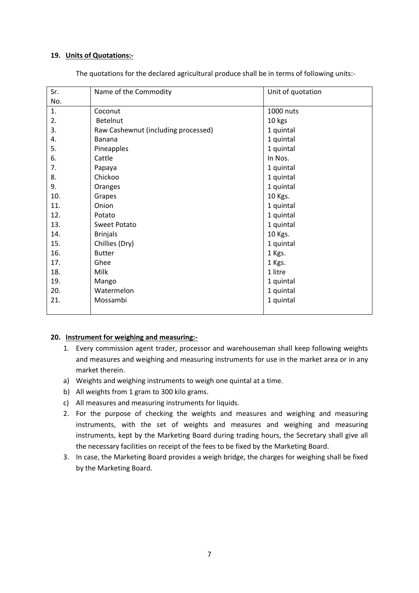#### **19. Units of Quotations:-**

| Sr. | Name of the Commodity               | Unit of quotation |
|-----|-------------------------------------|-------------------|
| No. |                                     |                   |
| 1.  | Coconut                             | 1000 nuts         |
| 2.  | Betelnut                            | 10 kgs            |
| 3.  | Raw Cashewnut (including processed) | 1 quintal         |
| 4.  | <b>Banana</b>                       | 1 quintal         |
| 5.  | Pineapples                          | 1 quintal         |
| 6.  | Cattle                              | In Nos.           |
| 7.  | Papaya                              | 1 quintal         |
| 8.  | Chickoo                             | 1 quintal         |
| 9.  | Oranges                             | 1 quintal         |
| 10. | Grapes                              | 10 Kgs.           |
| 11. | Onion                               | 1 quintal         |
| 12. | Potato                              | 1 quintal         |
| 13. | Sweet Potato                        | 1 quintal         |
| 14. | <b>Brinjals</b>                     | 10 Kgs.           |
| 15. | Chillies (Dry)                      | 1 quintal         |
| 16. | <b>Butter</b>                       | 1 Kgs.            |
| 17. | Ghee                                | 1 Kgs.            |
| 18. | Milk                                | 1 litre           |
| 19. | Mango                               | 1 quintal         |
| 20. | Watermelon                          | 1 quintal         |
| 21. | Mossambi                            | 1 quintal         |
|     |                                     |                   |

The quotations for the declared agricultural produce shall be in terms of following units:-

#### **20. Instrument for weighing and measuring:-**

- 1. Every commission agent trader, processor and warehouseman shall keep following weights and measures and weighing and measuring instruments for use in the market area or in any market therein.
- a) Weights and weighing instruments to weigh one quintal at a time.
- b) All weights from 1 gram to 300 kilo grams.
- c) All measures and measuring instruments for liquids.
- 2. For the purpose of checking the weights and measures and weighing and measuring instruments, with the set of weights and measures and weighing and measuring instruments, kept by the Marketing Board during trading hours, the Secretary shall give all the necessary facilities on receipt of the fees to be fixed by the Marketing Board.
- 3. In case, the Marketing Board provides a weigh bridge, the charges for weighing shall be fixed by the Marketing Board.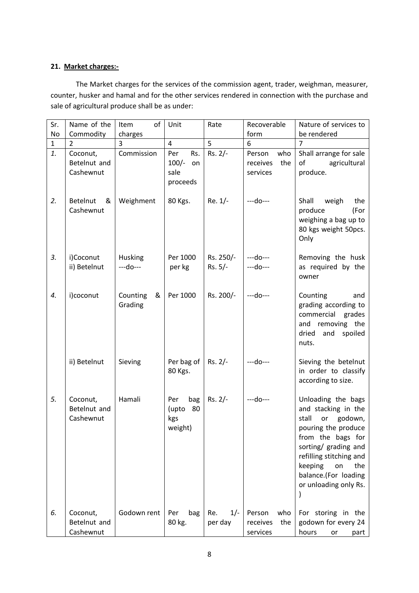## **21. Market charges:-**

The Market charges for the services of the commission agent, trader, weighman, measurer, counter, husker and hamal and for the other services rendered in connection with the purchase and sale of agricultural produce shall be as under:

| Sr.          | Name of the                           | of<br>Item               | Unit                                            | Rate                    | Recoverable                                  | Nature of services to                                                                                                                                                                                                                    |
|--------------|---------------------------------------|--------------------------|-------------------------------------------------|-------------------------|----------------------------------------------|------------------------------------------------------------------------------------------------------------------------------------------------------------------------------------------------------------------------------------------|
| No           | Commodity                             | charges                  |                                                 |                         | form                                         | be rendered                                                                                                                                                                                                                              |
| $\mathbf{1}$ | 2                                     | 3                        | $\overline{4}$                                  | 5                       | 6                                            | $\overline{7}$                                                                                                                                                                                                                           |
| 1.           | Coconut,<br>Betelnut and<br>Cashewnut | Commission               | Per<br>Rs.<br>$100/-$<br>on<br>sale<br>proceeds | Rs. 2/-                 | who<br>Person<br>receives<br>the<br>services | Shall arrange for sale<br>of<br>agricultural<br>produce.                                                                                                                                                                                 |
| 2.           | Betelnut<br>&<br>Cashewnut            | Weighment                | 80 Kgs.                                         | $Re. 1/-$               | $-$ -do $-$                                  | Shall<br>weigh<br>the<br>produce<br>(For<br>weighing a bag up to<br>80 kgs weight 50pcs.<br>Only                                                                                                                                         |
| 3.           | i)Coconut<br>ii) Betelnut             | Husking<br>---do---      | Per 1000<br>per kg                              | Rs. 250/-<br>$Rs. 5/-$  | ---do---<br>---do---                         | Removing the husk<br>as required by the<br>owner                                                                                                                                                                                         |
| 4.           | i)coconut                             | Counting<br>&<br>Grading | Per 1000                                        | Rs. 200/-               | $--do--$                                     | Counting<br>and<br>grading according to<br>commercial<br>grades<br>and removing the<br>dried<br>spoiled<br>and<br>nuts.                                                                                                                  |
|              | ii) Betelnut                          | Sieving                  | Per bag of<br>80 Kgs.                           | $Rs. 2/-$               | $-$ -do $-$                                  | Sieving the betelnut<br>in order to classify<br>according to size.                                                                                                                                                                       |
| 5.           | Coconut,<br>Betelnut and<br>Cashewnut | Hamali                   | Per<br>bag<br>80<br>(upto<br>kgs<br>weight)     | $Rs. 2/-$               | ---do---                                     | Unloading the bags<br>and stacking in the<br>or godown,<br>stall<br>pouring the produce<br>from the bags for<br>sorting/ grading and<br>refilling stitching and<br>keeping<br>on<br>the<br>balance.(For loading<br>or unloading only Rs. |
| 6.           | Coconut,<br>Betelnut and<br>Cashewnut | Godown rent              | bag<br>Per<br>80 kg.                            | $1/-$<br>Re.<br>per day | Person<br>who<br>receives<br>the<br>services | For storing in the<br>godown for every 24<br>hours<br>part<br>or                                                                                                                                                                         |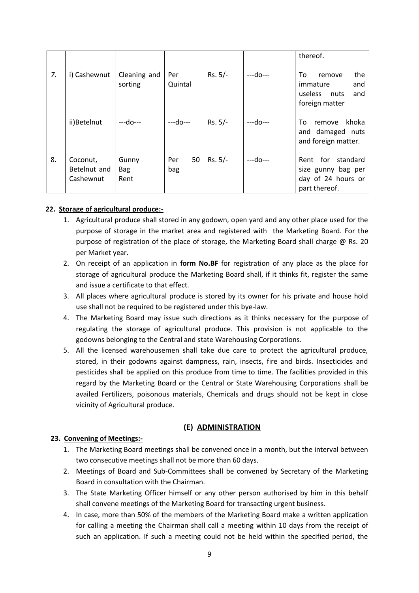|    |                                       |                             |                  |           |          | thereof.                                                                           |
|----|---------------------------------------|-----------------------------|------------------|-----------|----------|------------------------------------------------------------------------------------|
| 7. | i) Cashewnut                          | Cleaning and<br>sorting     | Per<br>Quintal   | $Rs. 5/-$ | ---do--- | the<br>To<br>remove<br>immature<br>and<br>useless<br>and<br>nuts<br>foreign matter |
|    | ii)Betelnut                           | ---do---                    | $- -d$ o $-$     | $Rs. 5/-$ | ---do--- | khoka<br>To<br>remove<br>and damaged nuts<br>and foreign matter.                   |
| 8. | Coconut,<br>Betelnut and<br>Cashewnut | Gunny<br><b>Bag</b><br>Rent | 50<br>Per<br>bag | $Rs. 5/-$ | ---do--- | for standard<br>Rent<br>size gunny bag per<br>day of 24 hours or<br>part thereof.  |

### **22. Storage of agricultural produce:-**

- 1. Agricultural produce shall stored in any godown, open yard and any other place used for the purpose of storage in the market area and registered with the Marketing Board. For the purpose of registration of the place of storage, the Marketing Board shall charge @ Rs. 20 per Market year.
- 2. On receipt of an application in **form No.BF** for registration of any place as the place for storage of agricultural produce the Marketing Board shall, if it thinks fit, register the same and issue a certificate to that effect.
- 3. All places where agricultural produce is stored by its owner for his private and house hold use shall not be required to be registered under this bye-law.
- 4. The Marketing Board may issue such directions as it thinks necessary for the purpose of regulating the storage of agricultural produce. This provision is not applicable to the godowns belonging to the Central and state Warehousing Corporations.
- 5. All the licensed warehousemen shall take due care to protect the agricultural produce, stored, in their godowns against dampness, rain, insects, fire and birds. Insecticides and pesticides shall be applied on this produce from time to time. The facilities provided in this regard by the Marketing Board or the Central or State Warehousing Corporations shall be availed Fertilizers, poisonous materials, Chemicals and drugs should not be kept in close vicinity of Agricultural produce.

### **(E) ADMINISTRATION**

#### **23. Convening of Meetings:-**

- 1. The Marketing Board meetings shall be convened once in a month, but the interval between two consecutive meetings shall not be more than 60 days.
- 2. Meetings of Board and Sub-Committees shall be convened by Secretary of the Marketing Board in consultation with the Chairman.
- 3. The State Marketing Officer himself or any other person authorised by him in this behalf shall convene meetings of the Marketing Board for transacting urgent business.
- 4. In case, more than 50% of the members of the Marketing Board make a written application for calling a meeting the Chairman shall call a meeting within 10 days from the receipt of such an application. If such a meeting could not be held within the specified period, the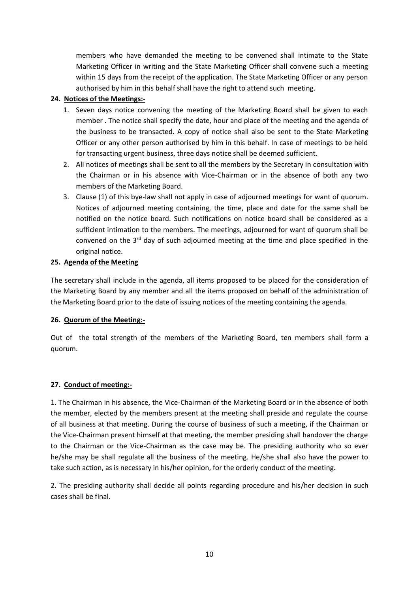members who have demanded the meeting to be convened shall intimate to the State Marketing Officer in writing and the State Marketing Officer shall convene such a meeting within 15 days from the receipt of the application. The State Marketing Officer or any person authorised by him in this behalf shall have the right to attend such meeting.

## **24. Notices of the Meetings:-**

- 1. Seven days notice convening the meeting of the Marketing Board shall be given to each member . The notice shall specify the date, hour and place of the meeting and the agenda of the business to be transacted. A copy of notice shall also be sent to the State Marketing Officer or any other person authorised by him in this behalf. In case of meetings to be held for transacting urgent business, three days notice shall be deemed sufficient.
- 2. All notices of meetings shall be sent to all the members by the Secretary in consultation with the Chairman or in his absence with Vice-Chairman or in the absence of both any two members of the Marketing Board.
- 3. Clause (1) of this bye-law shall not apply in case of adjourned meetings for want of quorum. Notices of adjourned meeting containing, the time, place and date for the same shall be notified on the notice board. Such notifications on notice board shall be considered as a sufficient intimation to the members. The meetings, adjourned for want of quorum shall be convened on the  $3<sup>rd</sup>$  day of such adjourned meeting at the time and place specified in the original notice.

## **25. Agenda of the Meeting**

The secretary shall include in the agenda, all items proposed to be placed for the consideration of the Marketing Board by any member and all the items proposed on behalf of the administration of the Marketing Board prior to the date of issuing notices of the meeting containing the agenda.

### **26. Quorum of the Meeting:-**

Out of the total strength of the members of the Marketing Board, ten members shall form a quorum.

### **27. Conduct of meeting:-**

1. The Chairman in his absence, the Vice-Chairman of the Marketing Board or in the absence of both the member, elected by the members present at the meeting shall preside and regulate the course of all business at that meeting. During the course of business of such a meeting, if the Chairman or the Vice-Chairman present himself at that meeting, the member presiding shall handover the charge to the Chairman or the Vice-Chairman as the case may be. The presiding authority who so ever he/she may be shall regulate all the business of the meeting. He/she shall also have the power to take such action, as is necessary in his/her opinion, for the orderly conduct of the meeting.

2. The presiding authority shall decide all points regarding procedure and his/her decision in such cases shall be final.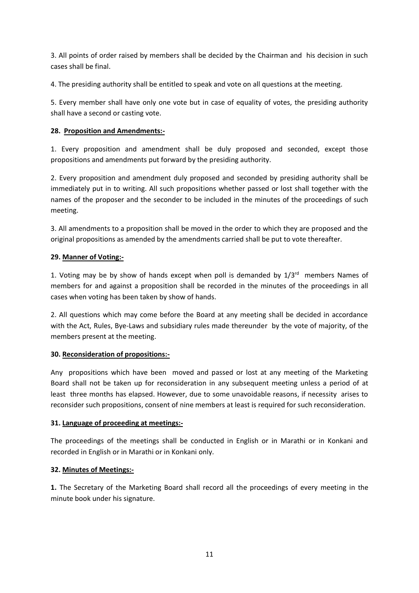3. All points of order raised by members shall be decided by the Chairman and his decision in such cases shall be final.

4. The presiding authority shall be entitled to speak and vote on all questions at the meeting.

5. Every member shall have only one vote but in case of equality of votes, the presiding authority shall have a second or casting vote.

## **28. Proposition and Amendments:-**

1. Every proposition and amendment shall be duly proposed and seconded, except those propositions and amendments put forward by the presiding authority.

2. Every proposition and amendment duly proposed and seconded by presiding authority shall be immediately put in to writing. All such propositions whether passed or lost shall together with the names of the proposer and the seconder to be included in the minutes of the proceedings of such meeting.

3. All amendments to a proposition shall be moved in the order to which they are proposed and the original propositions as amended by the amendments carried shall be put to vote thereafter.

### **29. Manner of Voting:-**

1. Voting may be by show of hands except when poll is demanded by  $1/3^{rd}$  members Names of members for and against a proposition shall be recorded in the minutes of the proceedings in all cases when voting has been taken by show of hands.

2. All questions which may come before the Board at any meeting shall be decided in accordance with the Act, Rules, Bye-Laws and subsidiary rules made thereunder by the vote of majority, of the members present at the meeting.

### **30. Reconsideration of propositions:-**

Any propositions which have been moved and passed or lost at any meeting of the Marketing Board shall not be taken up for reconsideration in any subsequent meeting unless a period of at least three months has elapsed. However, due to some unavoidable reasons, if necessity arises to reconsider such propositions, consent of nine members at least is required for such reconsideration.

### **31. Language of proceeding at meetings:-**

The proceedings of the meetings shall be conducted in English or in Marathi or in Konkani and recorded in English or in Marathi or in Konkani only.

### **32. Minutes of Meetings:-**

**1.** The Secretary of the Marketing Board shall record all the proceedings of every meeting in the minute book under his signature.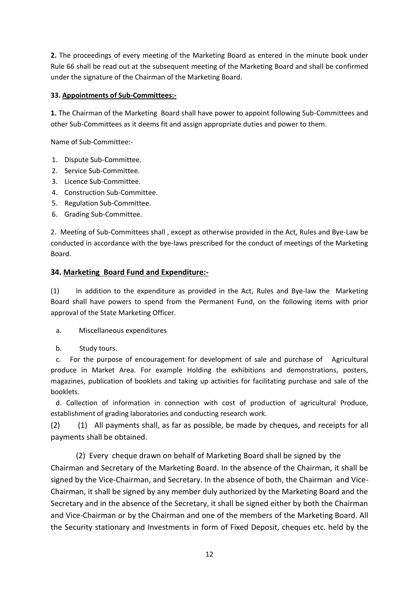**2.** The proceedings of every meeting of the Marketing Board as entered in the minute book under Rule 66 shall be read out at the subsequent meeting of the Marketing Board and shall be confirmed under the signature of the Chairman of the Marketing Board.

## **33. Appointments of Sub-Committees:-**

**1.** The Chairman of the Marketing Board shall have power to appoint following Sub-Committees and other Sub-Committees as it deems fit and assign appropriate duties and power to them.

Name of Sub-Committee:-

- 1. Dispute Sub-Committee.
- 2. Service Sub-Committee.
- 3. Licence Sub-Committee.
- 4. Construction Sub-Committee.
- 5. Regulation Sub-Committee.
- 6. Grading Sub-Committee.

2. Meeting of Sub-Committees shall , except as otherwise provided in the Act, Rules and Bye-Law be conducted in accordance with the bye-laws prescribed for the conduct of meetings of the Marketing Board.

## **34. Marketing Board Fund and Expenditure:-**

(1) In addition to the expenditure as provided in the Act, Rules and Bye-law the Marketing Board shall have powers to spend from the Permanent Fund, on the following items with prior approval of the State Marketing Officer.

a. Miscellaneous expenditures

b. Study tours.

 c. For the purpose of encouragement for development of sale and purchase of Agricultural produce in Market Area. For example Holding the exhibitions and demonstrations, posters, magazines, publication of booklets and taking up activities for facilitating purchase and sale of the booklets.

 d. Collection of information in connection with cost of production of agricultural Produce, establishment of grading laboratories and conducting research work.

(2) (1) All payments shall, as far as possible, be made by cheques, and receipts for all payments shall be obtained.

(2) Every cheque drawn on behalf of Marketing Board shall be signed by the

Chairman and Secretary of the Marketing Board. In the absence of the Chairman, it shall be signed by the Vice-Chairman, and Secretary. In the absence of both, the Chairman and Vice-Chairman, it shall be signed by any member duly authorized by the Marketing Board and the Secretary and in the absence of the Secretary, it shall be signed either by both the Chairman and Vice-Chairman or by the Chairman and one of the members of the Marketing Board. All the Security stationary and Investments in form of Fixed Deposit, cheques etc. held by the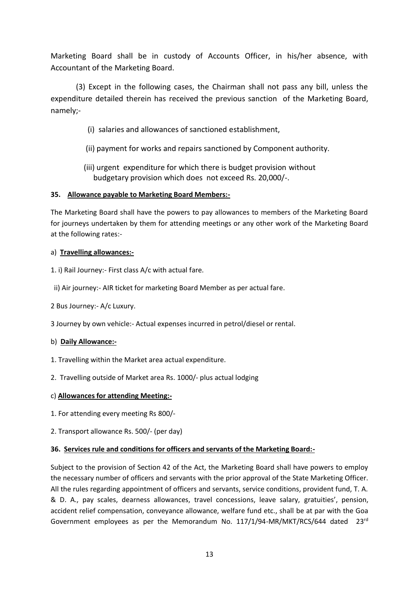Marketing Board shall be in custody of Accounts Officer, in his/her absence, with Accountant of the Marketing Board.

(3) Except in the following cases, the Chairman shall not pass any bill, unless the expenditure detailed therein has received the previous sanction of the Marketing Board, namely;-

- (i) salaries and allowances of sanctioned establishment,
- (ii) payment for works and repairs sanctioned by Component authority.
- (iii) urgent expenditure for which there is budget provision without budgetary provision which does not exceed Rs. 20,000/-.

### **35. Allowance payable to Marketing Board Members:-**

The Marketing Board shall have the powers to pay allowances to members of the Marketing Board for journeys undertaken by them for attending meetings or any other work of the Marketing Board at the following rates:-

### a) **Travelling allowances:-**

- 1. i) Rail Journey:- First class A/c with actual fare.
- ii) Air journey:- AIR ticket for marketing Board Member as per actual fare.
- 2 Bus Journey:- A/c Luxury.
- 3 Journey by own vehicle:- Actual expenses incurred in petrol/diesel or rental.

#### b) **Daily Allowance:-**

- 1. Travelling within the Market area actual expenditure.
- 2. Travelling outside of Market area Rs. 1000/- plus actual lodging

#### c) **Allowances for attending Meeting:-**

- 1. For attending every meeting Rs 800/-
- 2. Transport allowance Rs. 500/- (per day)

#### **36. Services rule and conditions for officers and servants of the Marketing Board:-**

Subject to the provision of Section 42 of the Act, the Marketing Board shall have powers to employ the necessary number of officers and servants with the prior approval of the State Marketing Officer. All the rules regarding appointment of officers and servants, service conditions, provident fund, T. A. & D. A., pay scales, dearness allowances, travel concessions, leave salary, gratuities', pension, accident relief compensation, conveyance allowance, welfare fund etc., shall be at par with the Goa Government employees as per the Memorandum No. 117/1/94-MR/MKT/RCS/644 dated 23rd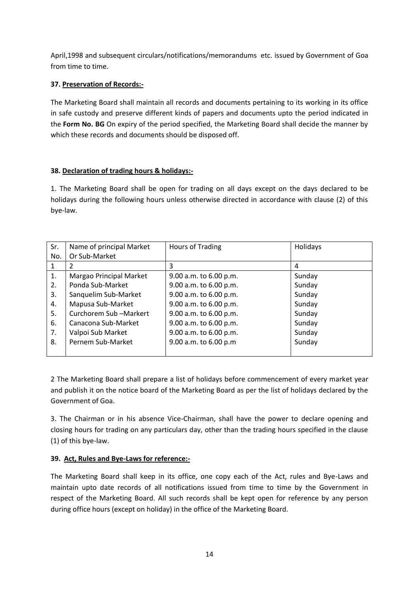April,1998 and subsequent circulars/notifications/memorandums etc. issued by Government of Goa from time to time.

## **37. Preservation of Records:-**

The Marketing Board shall maintain all records and documents pertaining to its working in its office in safe custody and preserve different kinds of papers and documents upto the period indicated in the **Form No. BG** On expiry of the period specified, the Marketing Board shall decide the manner by which these records and documents should be disposed off.

## **38. Declaration of trading hours & holidays:-**

1. The Marketing Board shall be open for trading on all days except on the days declared to be holidays during the following hours unless otherwise directed in accordance with clause (2) of this bye-law.

| Sr. | Name of principal Market | Hours of Trading       | Holidays |
|-----|--------------------------|------------------------|----------|
| No. | Or Sub-Market            |                        |          |
| 1   |                          | 3                      | 4        |
| 1.  | Margao Principal Market  | 9.00 a.m. to 6.00 p.m. | Sunday   |
| 2.  | Ponda Sub-Market         | 9.00 a.m. to 6.00 p.m. | Sunday   |
| 3.  | Sanquelim Sub-Market     | 9.00 a.m. to 6.00 p.m. | Sunday   |
| 4.  | Mapusa Sub-Market        | 9.00 a.m. to 6.00 p.m. | Sunday   |
| 5.  | Curchorem Sub-Markert    | 9.00 a.m. to 6.00 p.m. | Sunday   |
| 6.  | Canacona Sub-Market      | 9.00 a.m. to 6.00 p.m. | Sunday   |
| 7.  | Valpoi Sub Market        | 9.00 a.m. to 6.00 p.m. | Sunday   |
| 8.  | Pernem Sub-Market        | 9.00 a.m. to 6.00 p.m  | Sunday   |
|     |                          |                        |          |

2 The Marketing Board shall prepare a list of holidays before commencement of every market year and publish it on the notice board of the Marketing Board as per the list of holidays declared by the Government of Goa.

3. The Chairman or in his absence Vice-Chairman, shall have the power to declare opening and closing hours for trading on any particulars day, other than the trading hours specified in the clause (1) of this bye-law.

### **39. Act, Rules and Bye-Laws for reference:-**

The Marketing Board shall keep in its office, one copy each of the Act, rules and Bye-Laws and maintain upto date records of all notifications issued from time to time by the Government in respect of the Marketing Board. All such records shall be kept open for reference by any person during office hours (except on holiday) in the office of the Marketing Board.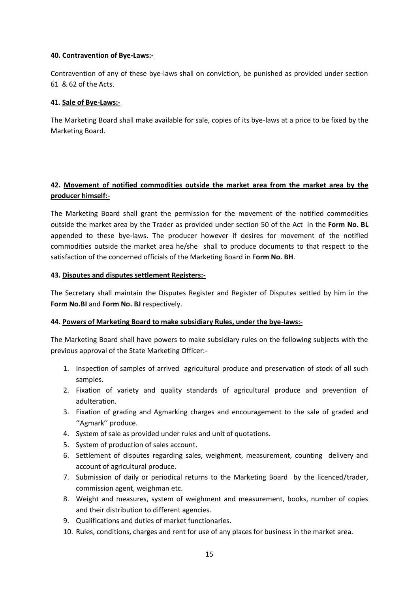#### **40. Contravention of Bye-Laws:-**

Contravention of any of these bye-laws shall on conviction, be punished as provided under section 61 & 62 of the Acts.

### **41**. **Sale of Bye-Laws:-**

The Marketing Board shall make available for sale, copies of its bye-laws at a price to be fixed by the Marketing Board.

## **42. Movement of notified commodities outside the market area from the market area by the producer himself:-**

The Marketing Board shall grant the permission for the movement of the notified commodities outside the market area by the Trader as provided under section 50 of the Act in the **Form No. BL** appended to these bye-laws. The producer however if desires for movement of the notified commodities outside the market area he/she shall to produce documents to that respect to the satisfaction of the concerned officials of the Marketing Board in F**orm No. BH**.

### **43. Disputes and disputes settlement Registers:-**

The Secretary shall maintain the Disputes Register and Register of Disputes settled by him in the **Form No.BI** and **Form No. BJ** respectively.

### **44. Powers of Marketing Board to make subsidiary Rules, under the bye-laws:-**

The Marketing Board shall have powers to make subsidiary rules on the following subjects with the previous approval of the State Marketing Officer:-

- 1. Inspection of samples of arrived agricultural produce and preservation of stock of all such samples.
- 2. Fixation of variety and quality standards of agricultural produce and prevention of adulteration.
- 3. Fixation of grading and Agmarking charges and encouragement to the sale of graded and ''Agmark'' produce.
- 4. System of sale as provided under rules and unit of quotations.
- 5. System of production of sales account.
- 6. Settlement of disputes regarding sales, weighment, measurement, counting delivery and account of agricultural produce.
- 7. Submission of daily or periodical returns to the Marketing Board by the licenced/trader, commission agent, weighman etc.
- 8. Weight and measures, system of weighment and measurement, books, number of copies and their distribution to different agencies.
- 9. Qualifications and duties of market functionaries.
- 10. Rules, conditions, charges and rent for use of any places for business in the market area.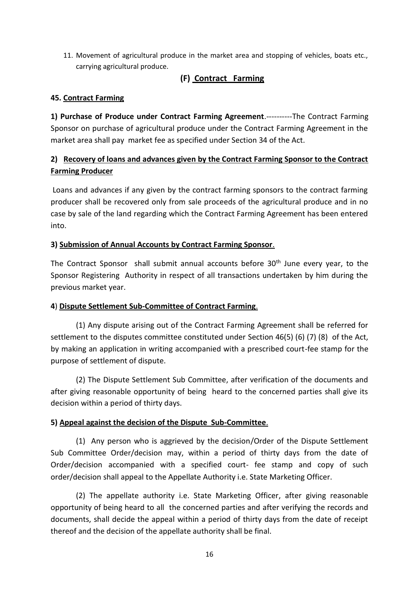11. Movement of agricultural produce in the market area and stopping of vehicles, boats etc., carrying agricultural produce.

## **(F) Contract Farming**

## **45. Contract Farming**

**1) Purchase of Produce under Contract Farming Agreement**.----------The Contract Farming Sponsor on purchase of agricultural produce under the Contract Farming Agreement in the market area shall pay market fee as specified under Section 34 of the Act.

# **2) Recovery of loans and advances given by the Contract Farming Sponsor to the Contract Farming Producer**

Loans and advances if any given by the contract farming sponsors to the contract farming producer shall be recovered only from sale proceeds of the agricultural produce and in no case by sale of the land regarding which the Contract Farming Agreement has been entered into.

## **3) Submission of Annual Accounts by Contract Farming Sponsor**.

The Contract Sponsor shall submit annual accounts before  $30<sup>th</sup>$  June every year, to the Sponsor Registering Authority in respect of all transactions undertaken by him during the previous market year.

## **4**) **Dispute Settlement Sub-Committee of Contract Farming**.

(1) Any dispute arising out of the Contract Farming Agreement shall be referred for settlement to the disputes committee constituted under Section 46(5) (6) (7) (8) of the Act, by making an application in writing accompanied with a prescribed court-fee stamp for the purpose of settlement of dispute.

 (2) The Dispute Settlement Sub Committee, after verification of the documents and after giving reasonable opportunity of being heard to the concerned parties shall give its decision within a period of thirty days.

## **5) Appeal against the decision of the Dispute Sub-Committee**.

(1) Any person who is aggrieved by the decision/Order of the Dispute Settlement Sub Committee Order/decision may, within a period of thirty days from the date of Order/decision accompanied with a specified court- fee stamp and copy of such order/decision shall appeal to the Appellate Authority i.e. State Marketing Officer.

(2) The appellate authority i.e. State Marketing Officer, after giving reasonable opportunity of being heard to all the concerned parties and after verifying the records and documents, shall decide the appeal within a period of thirty days from the date of receipt thereof and the decision of the appellate authority shall be final.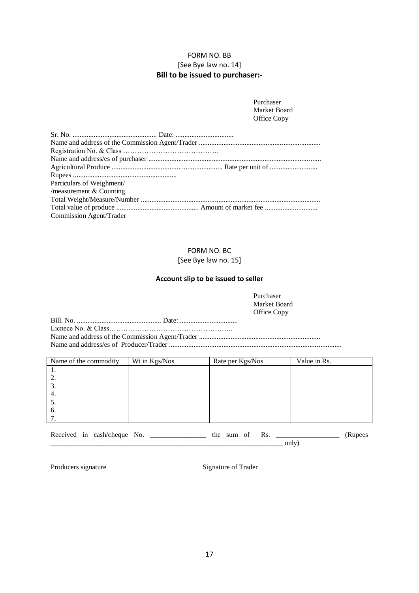### FORM NO. BB [See Bye law no. 14] **Bill to be issued to purchaser:-**

| Purchaser    |
|--------------|
| Market Board |
| Office Copy  |

| Particulars of Weighment/      |  |
|--------------------------------|--|
| /measurement $&$ Counting      |  |
|                                |  |
|                                |  |
| <b>Commission Agent/Trader</b> |  |

## FORM NO. BC

#### [See Bye law no. 15]

#### **Account slip to be issued to seller**

Purchaser Market Board Office Copy

Bill. No. ................................................ Date: ................................. Licnece No. & Class…………………………………………….. Name and address of the Commission Agent/Trader ..................................................................... Name and address/es of Producer/Trader ..................................................................................................

| Name of the commodity | Wt in Kgs/Nos | Rate per Kgs/Nos | Value in Rs. |
|-----------------------|---------------|------------------|--------------|
|                       |               |                  |              |
| 2.                    |               |                  |              |
| 3.                    |               |                  |              |
| 4.                    |               |                  |              |
| C.                    |               |                  |              |
| 6.                    |               |                  |              |
|                       |               |                  |              |

| $\mathbf{r}$<br>. | -- | ΩΩ | $\cdot$ | ______ | the |  | 1 W | <u> The Common Section of the Common Section of the Common Section of the Common Section of the Common Section of the Common Section of the Common Section of the Common Section of the Common Section of the Common Section of </u><br>___________________ |  |
|-------------------|----|----|---------|--------|-----|--|-----|-------------------------------------------------------------------------------------------------------------------------------------------------------------------------------------------------------------------------------------------------------------|--|
|                   |    |    |         |        |     |  |     | .<br>onı                                                                                                                                                                                                                                                    |  |

Producers signature Signature Signature of Trader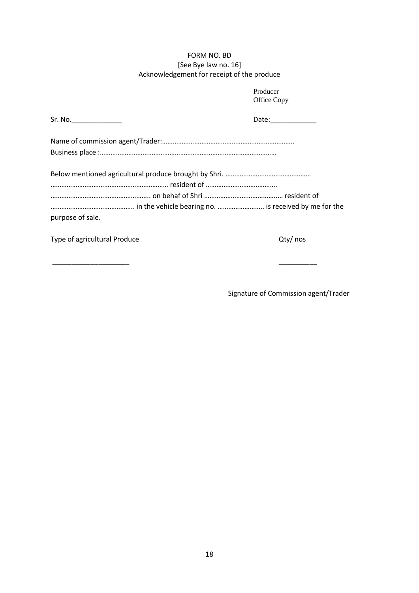## FORM NO. BD [See Bye law no. 16] Acknowledgement for receipt of the produce

|                       | Office Copy         |
|-----------------------|---------------------|
| Sr. No.______________ | Date: _____________ |
|                       |                     |
|                       |                     |
|                       |                     |
|                       |                     |
| purpose of sale.      |                     |

Type of agricultural Produce and Type of agricultural Produce

Producer

\_\_\_\_\_\_\_\_\_\_\_\_\_\_\_\_\_\_\_\_ \_\_\_\_\_\_\_\_\_\_

Signature of Commission agent/Trader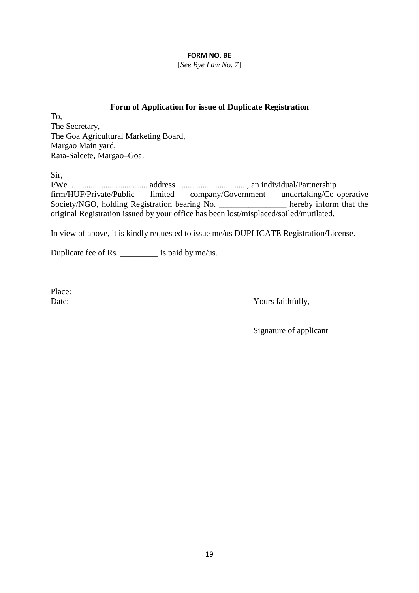### **FORM NO. BE**

[*See Bye Law No. 7*]

## **Form of Application for issue of Duplicate Registration**

To, The Secretary, The Goa Agricultural Marketing Board, Margao Main yard, Raia-Salcete, Margao–Goa.

Sir,

I/We .................................... address ................................., an individual/Partnership firm/HUF/Private/Public limited company/Government undertaking/Co-operative Society/NGO, holding Registration bearing No. \_\_\_\_\_\_\_\_\_\_\_\_\_\_\_\_\_ hereby inform that the original Registration issued by your office has been lost/misplaced/soiled/mutilated.

In view of above, it is kindly requested to issue me/us DUPLICATE Registration/License.

Duplicate fee of Rs. \_\_\_\_\_\_\_\_\_ is paid by me/us.

Place:

Date: Yours faithfully,

Signature of applicant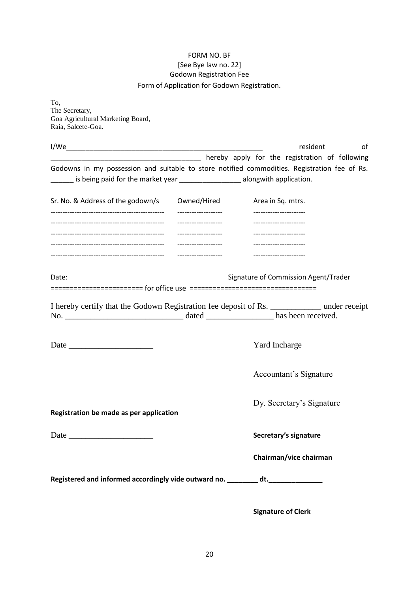## FORM NO. BF [See Bye law no. 22] Godown Registration Fee Form of Application for Godown Registration.

To, The Secretary, Goa Agricultural Marketing Board, Raia, Salcete-Goa.

|                                                                                                                                                             |                                             | resident<br>οf                                   |
|-------------------------------------------------------------------------------------------------------------------------------------------------------------|---------------------------------------------|--------------------------------------------------|
|                                                                                                                                                             |                                             | hereby apply for the registration of following   |
| Godowns in my possession and suitable to store notified commodities. Registration fee of Rs.<br>is being paid for the market year<br>alongwith application. |                                             |                                                  |
| Sr. No. & Address of the godown/s                                                                                                                           | Owned/Hired<br>--------------------         | Area in Sq. mtrs.<br>----------------------      |
|                                                                                                                                                             | -------------------<br>____________________ | ----------------------<br>---------------------- |
|                                                                                                                                                             | -------------------                         | -----------------------                          |
| Date:                                                                                                                                                       |                                             | Signature of Commission Agent/Trader             |
| I hereby certify that the Godown Registration fee deposit of Rs. _____________ under receipt                                                                |                                             |                                                  |
|                                                                                                                                                             |                                             | Yard Incharge                                    |
|                                                                                                                                                             |                                             | Accountant's Signature                           |
| Registration be made as per application                                                                                                                     |                                             | Dy. Secretary's Signature                        |
|                                                                                                                                                             |                                             | Secretary's signature                            |
|                                                                                                                                                             |                                             | Chairman/vice chairman                           |
| Registered and informed accordingly vide outward no. ________ dt. _____                                                                                     |                                             |                                                  |

**Signature of Clerk**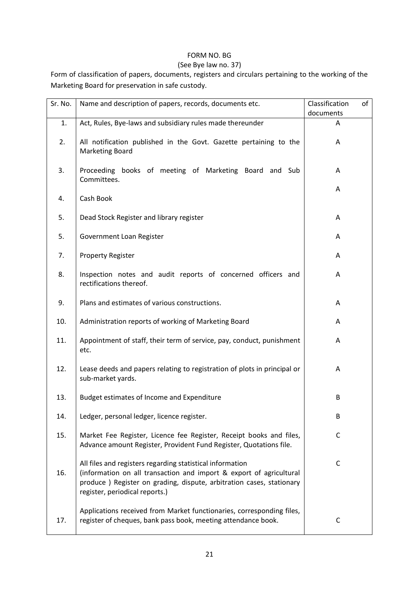## FORM NO. BG

## (See Bye law no. 37)

Form of classification of papers, documents, registers and circulars pertaining to the working of the Marketing Board for preservation in safe custody.

| Sr. No. | Name and description of papers, records, documents etc.                                                                                                                                                                                     | Classification<br>of |
|---------|---------------------------------------------------------------------------------------------------------------------------------------------------------------------------------------------------------------------------------------------|----------------------|
|         |                                                                                                                                                                                                                                             | documents            |
| 1.      | Act, Rules, Bye-laws and subsidiary rules made thereunder                                                                                                                                                                                   | A                    |
| 2.      | All notification published in the Govt. Gazette pertaining to the<br><b>Marketing Board</b>                                                                                                                                                 | Α                    |
| 3.      | Proceeding books of meeting of Marketing Board and Sub<br>Committees.                                                                                                                                                                       | A                    |
| 4.      | Cash Book                                                                                                                                                                                                                                   | A                    |
| 5.      | Dead Stock Register and library register                                                                                                                                                                                                    | A                    |
| 5.      | Government Loan Register                                                                                                                                                                                                                    | Α                    |
| 7.      | <b>Property Register</b>                                                                                                                                                                                                                    | A                    |
| 8.      | Inspection notes and audit reports of concerned officers and<br>rectifications thereof.                                                                                                                                                     | A                    |
| 9.      | Plans and estimates of various constructions.                                                                                                                                                                                               | A                    |
| 10.     | Administration reports of working of Marketing Board                                                                                                                                                                                        | A                    |
| 11.     | Appointment of staff, their term of service, pay, conduct, punishment<br>etc.                                                                                                                                                               | Α                    |
| 12.     | Lease deeds and papers relating to registration of plots in principal or<br>sub-market yards.                                                                                                                                               | A                    |
| 13.     | Budget estimates of Income and Expenditure                                                                                                                                                                                                  | B                    |
| 14.     | Ledger, personal ledger, licence register.                                                                                                                                                                                                  | B                    |
| 15.     | Market Fee Register, Licence fee Register, Receipt books and files,<br>Advance amount Register, Provident Fund Register, Quotations file.                                                                                                   | C                    |
| 16.     | All files and registers regarding statistical information<br>(information on all transaction and import & export of agricultural<br>produce ) Register on grading, dispute, arbitration cases, stationary<br>register, periodical reports.) | C                    |
| 17.     | Applications received from Market functionaries, corresponding files,<br>register of cheques, bank pass book, meeting attendance book.                                                                                                      | $\mathsf C$          |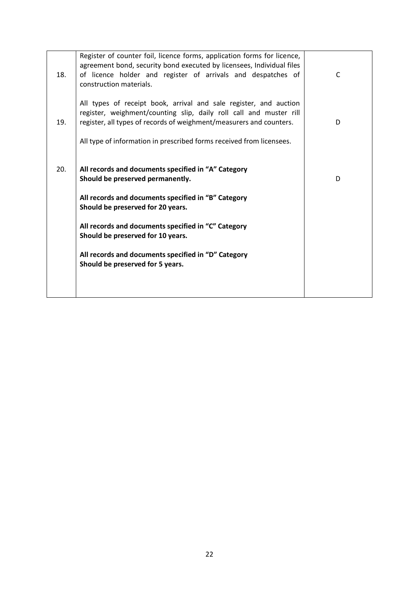| 18. | Register of counter foil, licence forms, application forms for licence,<br>agreement bond, security bond executed by licensees, Individual files<br>of licence holder and register of arrivals and despatches of<br>construction materials. | C |
|-----|---------------------------------------------------------------------------------------------------------------------------------------------------------------------------------------------------------------------------------------------|---|
| 19. | All types of receipt book, arrival and sale register, and auction<br>register, weighment/counting slip, daily roll call and muster rill<br>register, all types of records of weighment/measurers and counters.                              | D |
|     | All type of information in prescribed forms received from licensees.                                                                                                                                                                        |   |
| 20. | All records and documents specified in "A" Category<br>Should be preserved permanently.                                                                                                                                                     | D |
|     | All records and documents specified in "B" Category<br>Should be preserved for 20 years.                                                                                                                                                    |   |
|     | All records and documents specified in "C" Category<br>Should be preserved for 10 years.                                                                                                                                                    |   |
|     | All records and documents specified in "D" Category<br>Should be preserved for 5 years.                                                                                                                                                     |   |
|     |                                                                                                                                                                                                                                             |   |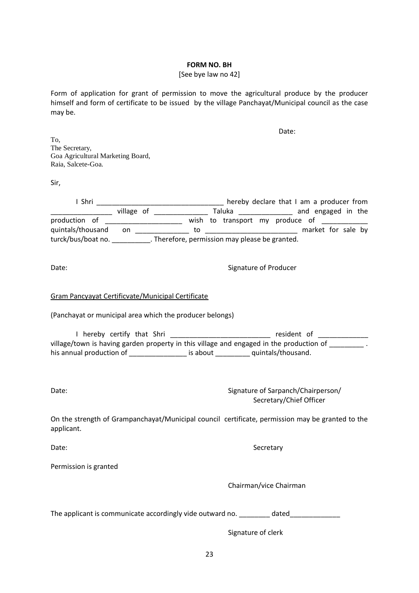#### **FORM NO. BH**

### [See bye law no 42]

Form of application for grant of permission to move the agricultural produce by the producer himself and form of certificate to be issued by the village Panchayat/Municipal council as the case may be.

|                                                                                                                                                                                          | Date:                                                         |
|------------------------------------------------------------------------------------------------------------------------------------------------------------------------------------------|---------------------------------------------------------------|
| To,<br>The Secretary,<br>Goa Agricultural Marketing Board,<br>Raia, Salcete-Goa.                                                                                                         |                                                               |
| Sir,                                                                                                                                                                                     |                                                               |
|                                                                                                                                                                                          |                                                               |
| production of ________________________ wish to transport my produce of __________                                                                                                        |                                                               |
| quintals/thousand on 100 to 100 to 100 market for sale by<br>turck/bus/boat no. 100 market for sale by<br>turck/bus/boat no. 100 market for sale by                                      |                                                               |
|                                                                                                                                                                                          |                                                               |
| Date:                                                                                                                                                                                    | Signature of Producer                                         |
| Gram Pancyayat Certificvate/Municipal Certificate<br>(Panchayat or municipal area which the producer belongs)                                                                            |                                                               |
| I hereby certify that Shri __________________________ resident of ______________                                                                                                         |                                                               |
| village/town is having garden property in this village and engaged in the production of _________.<br>his annual production of __________________ is about __________ quintals/thousand. |                                                               |
| Date:                                                                                                                                                                                    | Signature of Sarpanch/Chairperson/<br>Secretary/Chief Officer |
| On the strength of Grampanchayat/Municipal council certificate, permission may be granted to the<br>applicant.                                                                           |                                                               |
| Date:                                                                                                                                                                                    | Secretary                                                     |
| Permission is granted                                                                                                                                                                    |                                                               |
|                                                                                                                                                                                          | Chairman/vice Chairman                                        |
| The applicant is communicate accordingly vide outward no. _________ dated_____________                                                                                                   |                                                               |

Signature of clerk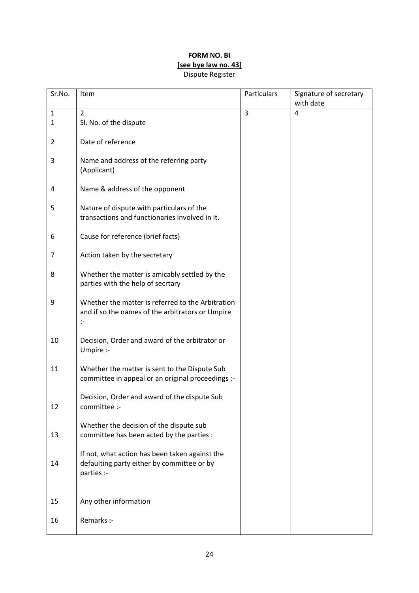## **FORM NO. BI [see bye law no. 43]** Dispute Register

| Sr.No.       | Item                                                                                                        | Particulars | Signature of secretary<br>with date |
|--------------|-------------------------------------------------------------------------------------------------------------|-------------|-------------------------------------|
| $\mathbf{1}$ | 2                                                                                                           | 3           | 4                                   |
| $\mathbf{1}$ | Sl. No. of the dispute                                                                                      |             |                                     |
| 2            | Date of reference                                                                                           |             |                                     |
| 3            | Name and address of the referring party<br>(Applicant)                                                      |             |                                     |
| 4            | Name & address of the opponent                                                                              |             |                                     |
| 5            | Nature of dispute with particulars of the<br>transactions and functionaries involved in it.                 |             |                                     |
| 6            | Cause for reference (brief facts)                                                                           |             |                                     |
| 7            | Action taken by the secretary                                                                               |             |                                     |
| 8            | Whether the matter is amicably settled by the<br>parties with the help of secrtary                          |             |                                     |
| 9            | Whether the matter is referred to the Arbitration<br>and if so the names of the arbitrators or Umpire<br>:- |             |                                     |
| 10           | Decision, Order and award of the arbitrator or<br>Umpire :-                                                 |             |                                     |
| 11           | Whether the matter is sent to the Dispute Sub<br>committee in appeal or an original proceedings :-          |             |                                     |
| 12           | Decision, Order and award of the dispute Sub<br>committee :-                                                |             |                                     |
| 13           | Whether the decision of the dispute sub<br>committee has been acted by the parties :                        |             |                                     |
| 14           | If not, what action has been taken against the<br>defaulting party either by committee or by<br>parties :-  |             |                                     |
| 15           | Any other information                                                                                       |             |                                     |
| 16           | Remarks :-                                                                                                  |             |                                     |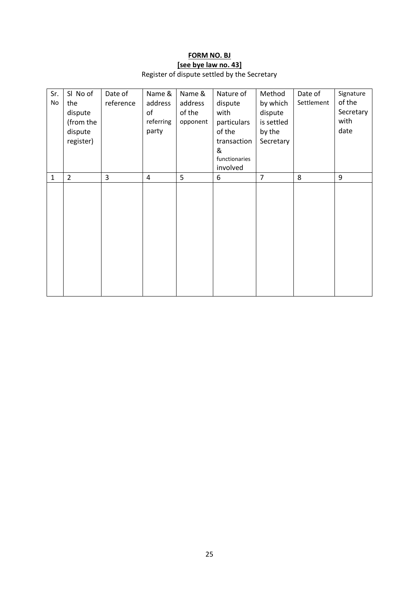# **FORM NO. BJ [see bye law no. 43]**

Register of dispute settled by the Secretary

| Sr.          | SI No of       | Date of   | Name &         | Name &   | Nature of     | Method         | Date of    | Signature |
|--------------|----------------|-----------|----------------|----------|---------------|----------------|------------|-----------|
| No           | the            | reference | address        | address  | dispute       | by which       | Settlement | of the    |
|              | dispute        |           | of             | of the   | with          | dispute        |            | Secretary |
|              | (from the      |           | referring      | opponent | particulars   | is settled     |            | with      |
|              | dispute        |           | party          |          | of the        | by the         |            | date      |
|              | register)      |           |                |          | transaction   | Secretary      |            |           |
|              |                |           |                |          | &             |                |            |           |
|              |                |           |                |          | functionaries |                |            |           |
|              |                |           |                |          | involved      |                |            |           |
| $\mathbf{1}$ | $\overline{2}$ | 3         | $\overline{4}$ | 5        | 6             | $\overline{7}$ | 8          | 9         |
|              |                |           |                |          |               |                |            |           |
|              |                |           |                |          |               |                |            |           |
|              |                |           |                |          |               |                |            |           |
|              |                |           |                |          |               |                |            |           |
|              |                |           |                |          |               |                |            |           |
|              |                |           |                |          |               |                |            |           |
|              |                |           |                |          |               |                |            |           |
|              |                |           |                |          |               |                |            |           |
|              |                |           |                |          |               |                |            |           |
|              |                |           |                |          |               |                |            |           |
|              |                |           |                |          |               |                |            |           |
|              |                |           |                |          |               |                |            |           |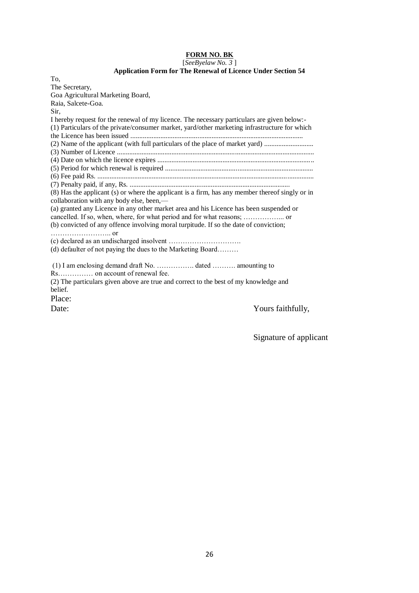#### **FORM NO. BK**

[*SeeByelaw No. 3* ]

#### **Application Form for The Renewal of Licence Under Section 54**

| To,  |                                                                                                 |
|------|-------------------------------------------------------------------------------------------------|
|      | The Secretary,                                                                                  |
|      | Goa Agricultural Marketing Board,                                                               |
|      | Raia, Salcete-Goa.                                                                              |
| Sir, |                                                                                                 |
|      | I hereby request for the renewal of my licence. The necessary particulars are given below:-     |
|      | (1) Particulars of the private/consumer market, yard/other marketing infrastructure for which   |
|      |                                                                                                 |
|      | (2) Name of the applicant (with full particulars of the place of market yard)                   |
|      |                                                                                                 |
|      |                                                                                                 |
|      |                                                                                                 |
|      |                                                                                                 |
|      |                                                                                                 |
|      | (8) Has the applicant (s) or where the applicant is a firm, has any member thereof singly or in |
|      | collaboration with any body else, been,—                                                        |
|      | (a) granted any Licence in any other market area and his Licence has been suspended or          |
|      |                                                                                                 |
|      | (b) convicted of any offence involving moral turpitude. If so the date of conviction;           |
|      |                                                                                                 |
|      |                                                                                                 |
|      | (d) defaulter of not paying the dues to the Marketing Board                                     |
|      |                                                                                                 |
|      |                                                                                                 |
|      |                                                                                                 |
|      | (2) The particulars given above are true and correct to the best of my knowledge and            |
|      | belief.                                                                                         |
|      | Place:                                                                                          |
|      | Yours faithfully,<br>Date:                                                                      |
|      |                                                                                                 |

Signature of applicant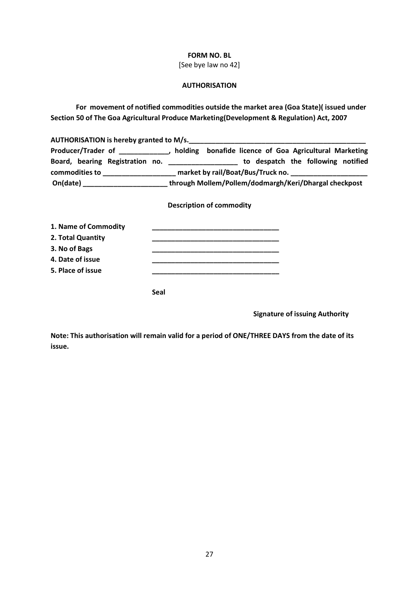#### **FORM NO. BL**

[See bye law no 42]

### **AUTHORISATION**

**For movement of notified commodities outside the market area (Goa State)( issued under Section 50 of The Goa Agricultural Produce Marketing(Development & Regulation) Act, 2007**

| AUTHORISATION is hereby granted to M/s.                           |                                                                                           |
|-------------------------------------------------------------------|-------------------------------------------------------------------------------------------|
|                                                                   | Producer/Trader of ______________, holding bonafide licence of Goa Agricultural Marketing |
|                                                                   | Board, bearing Registration no. ______________________ to despatch the following notified |
|                                                                   |                                                                                           |
|                                                                   | On(date) ________________________through Mollem/Pollem/dodmargh/Keri/Dhargal checkpost    |
|                                                                   | <b>Description of commodity</b>                                                           |
| 1. Name of Commodity<br>$\sim$ $\sim$ $\sim$ $\sim$ $\sim$ $\sim$ |                                                                                           |

| 2. Total Quantity |             |  |
|-------------------|-------------|--|
| 3. No of Bags     |             |  |
| 4. Date of issue  |             |  |
| 5. Place of issue |             |  |
|                   |             |  |
|                   | <b>Seal</b> |  |

**Signature of issuing Authority**

**Note: This authorisation will remain valid for a period of ONE/THREE DAYS from the date of its issue.**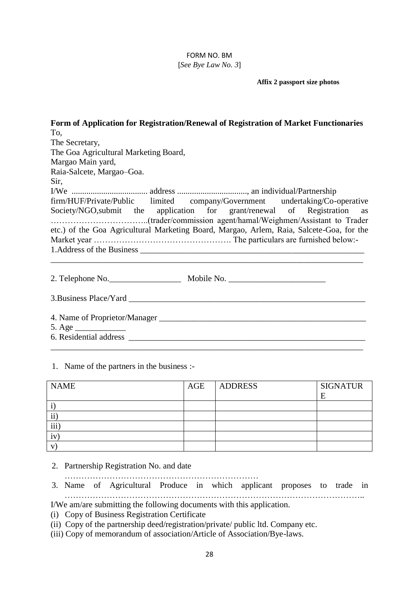### FORM NO. BM [*See Bye Law No. 3*]

**Affix 2 passport size photos**

| Form of Application for Registration/Renewal of Registration of Market Functionaries     |
|------------------------------------------------------------------------------------------|
| To,                                                                                      |
| The Secretary,                                                                           |
| The Goa Agricultural Marketing Board,                                                    |
| Margao Main yard,                                                                        |
| Raia-Salcete, Margao-Goa.                                                                |
| Sir,                                                                                     |
|                                                                                          |
| firm/HUF/Private/Public limited company/Government undertaking/Co-operative              |
| Society/NGO, submit the application for grant/renewal of Registration as                 |
| etc.) of the Goa Agricultural Marketing Board, Margao, Arlem, Raia, Salcete-Goa, for the |
|                                                                                          |
|                                                                                          |
|                                                                                          |
|                                                                                          |
|                                                                                          |
| 5. Age $\_\_\_\_\_\_\_\_\_\_\_\_\_\_$                                                    |
|                                                                                          |
|                                                                                          |

1. Name of the partners in the business :-

| <b>NAME</b>         | AGE | <b>ADDRESS</b> | <b>SIGNATUR</b><br>F |
|---------------------|-----|----------------|----------------------|
|                     |     |                |                      |
| $\cdot \cdot$<br>11 |     |                |                      |
| iii                 |     |                |                      |
| 1V                  |     |                |                      |
| $\mathbf{V}$        |     |                |                      |

2. Partnership Registration No. and date

……………………………………………………………

3. Name of Agricultural Produce in which applicant proposes to trade in ……………………………………………………………………………………………..

I/We am/are submitting the following documents with this application.

(i) Copy of Business Registration Certificate

- (ii) Copy of the partnership deed/registration/private/ public ltd. Company etc.
- (iii) Copy of memorandum of association/Article of Association/Bye-laws.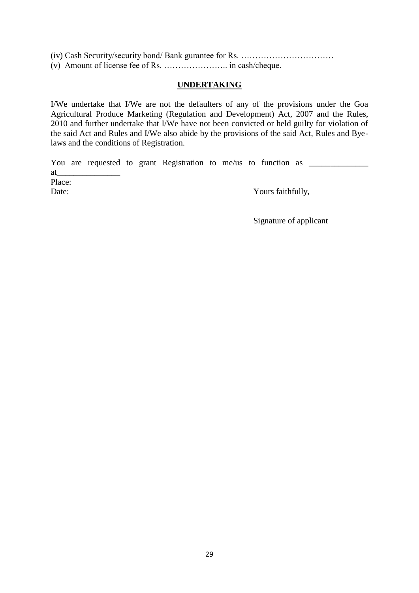(iv) Cash Security/security bond/ Bank gurantee for Rs. …………………………… (v) Amount of license fee of Rs. ………………….. in cash/cheque.

## **UNDERTAKING**

I/We undertake that I/We are not the defaulters of any of the provisions under the Goa Agricultural Produce Marketing (Regulation and Development) Act, 2007 and the Rules, 2010 and further undertake that I/We have not been convicted or held guilty for violation of the said Act and Rules and I/We also abide by the provisions of the said Act, Rules and Byelaws and the conditions of Registration.

You are requested to grant Registration to me/us to function as \_\_\_\_\_\_\_\_\_\_\_\_\_\_\_\_ at\_\_\_\_\_\_\_\_\_\_\_\_\_\_\_

Place:

Date: Yours faithfully,

Signature of applicant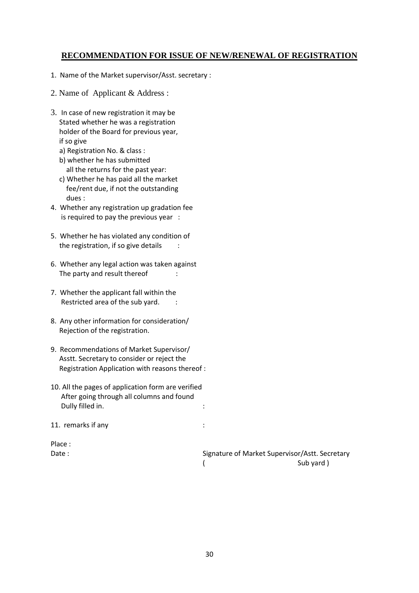# **RECOMMENDATION FOR ISSUE OF NEW/RENEWAL OF REGISTRATION**

- 1. Name of the Market supervisor/Asst. secretary :
- 2. Name of Applicant & Address :
- 3. In case of new registration it may be Stated whether he was a registration holder of the Board for previous year, if so give
	- a) Registration No. & class :
	- b) whether he has submitted all the returns for the past year:
	- c) Whether he has paid all the market fee/rent due, if not the outstanding dues :
- 4. Whether any registration up gradation fee is required to pay the previous year :
- 5. Whether he has violated any condition of the registration, if so give details :
- 6. Whether any legal action was taken against The party and result thereof :
- 7. Whether the applicant fall within the Restricted area of the sub yard.
- 8. Any other information for consideration/ Rejection of the registration.
- 9. Recommendations of Market Supervisor/ Asstt. Secretary to consider or reject the Registration Application with reasons thereof :
- 10. All the pages of application form are verified After going through all columns and found Dully filled in. The same state of the state of the state of the state of the state of the state of the state o

11. remarks if any :

Place :

Date : Signature of Market Supervisor/Astt. Secretary ( Sub yard )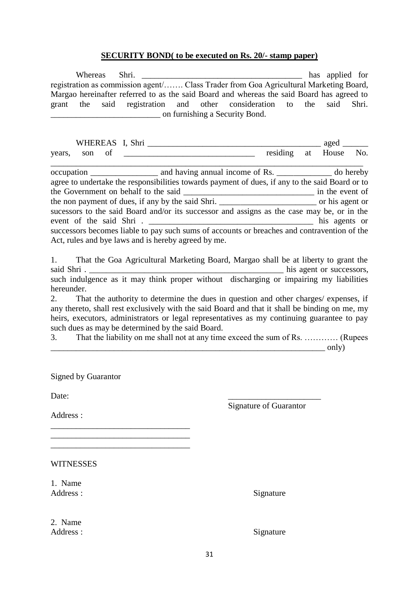### **SECURITY BOND( to be executed on Rs. 20/- stamp paper)**

| Whereas                                                                                         |  |    |       |       |  |
|-------------------------------------------------------------------------------------------------|--|----|-------|-------|--|
| registration as commission agent/ Class Trader from Goa Agricultural Marketing Board,           |  |    |       |       |  |
| Margao hereinafter referred to as the said Board and whereas the said Board has agreed to       |  |    |       |       |  |
| grant the said registration and other consideration to the                                      |  |    | said  | Shri. |  |
| n furnishing a Security Bond.                                                                   |  |    |       |       |  |
|                                                                                                 |  |    |       |       |  |
|                                                                                                 |  |    |       |       |  |
|                                                                                                 |  |    |       |       |  |
| of <u>example and the contract of</u> residing<br>son<br>years,                                 |  | at | House | No.   |  |
|                                                                                                 |  |    |       |       |  |
|                                                                                                 |  |    |       |       |  |
| agree to undertake the responsibilities towards payment of dues, if any to the said Board or to |  |    |       |       |  |
|                                                                                                 |  |    |       |       |  |
|                                                                                                 |  |    |       |       |  |
| sucessors to the said Board and/or its successor and assigns as the case may be, or in the      |  |    |       |       |  |
|                                                                                                 |  |    |       |       |  |
| successors becomes liable to pay such sums of accounts or breaches and contravention of the     |  |    |       |       |  |
| Act, rules and bye laws and is hereby agreed by me.                                             |  |    |       |       |  |
|                                                                                                 |  |    |       |       |  |
| That the Goa Agricultural Marketing Board, Margao shall be at liberty to grant the<br>1.        |  |    |       |       |  |
|                                                                                                 |  |    |       |       |  |
| such indulgence as it may think proper without discharging or impairing my liabilities          |  |    |       |       |  |
| hereunder.                                                                                      |  |    |       |       |  |
| That the authority to determine the dues in question and other charges/ expenses, if<br>2.      |  |    |       |       |  |
| any thereto, shall rest exclusively with the said Board and that it shall be binding on me, my  |  |    |       |       |  |
| heirs, executors, administrators or legal representatives as my continuing guarantee to pay     |  |    |       |       |  |
| such dues as may be determined by the said Board.                                               |  |    |       |       |  |

3. That the liability on me shall not at any time exceed the sum of Rs. ………… (Rupees  $\Box$  only)

Signed by Guarantor

 $\overline{\phantom{a}}$  , and the set of the set of the set of the set of the set of the set of the set of the set of the set of the set of the set of the set of the set of the set of the set of the set of the set of the set of the s

 $\_$ 

Date:

Signature of Guarantor

Address :

WITNESSES

1. Name Address : Signature

2. Name Address : Signature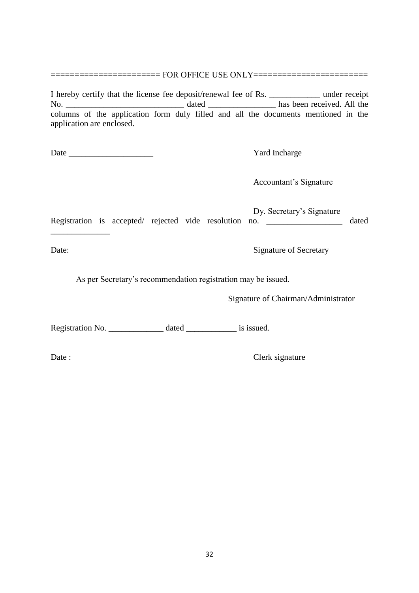========================== FOR OFFICE USE ONLY==================================

I hereby certify that the license fee deposit/renewal fee of Rs. \_\_\_\_\_\_\_\_\_\_\_\_ under receipt No. 2012 and the dated the contract of the basis been received. All the basis been received. All the same of the same of the same of the same of the same of the same of the same of the same of the same of the same of the s columns of the application form duly filled and all the documents mentioned in the application are enclosed.

Date \_\_\_\_\_\_\_\_\_\_\_\_\_\_\_\_\_\_\_\_ Yard Incharge

Accountant's Signature

Dy. Secretary's Signature Registration is accepted/ rejected vide resolution no. \_\_\_\_\_\_\_\_\_\_\_\_\_\_\_\_\_\_ dated

\_\_\_\_\_\_\_\_\_\_\_\_\_\_

Date: Signature of Secretary

As per Secretary's recommendation registration may be issued.

Signature of Chairman/Administrator

Registration No. \_\_\_\_\_\_\_\_\_\_\_\_\_\_\_ dated \_\_\_\_\_\_\_\_\_\_\_\_\_\_\_\_ is issued.

Date : Clerk signature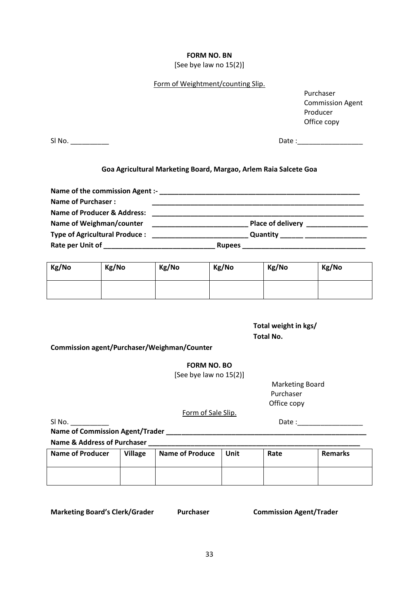#### **FORM NO. BN**

[See bye law no 15(2)]

### Form of Weightment/counting Slip.

Purchaser Commission Agent Producer Office copy

Sl No. \_\_\_\_\_\_\_\_\_\_ Date :\_\_\_\_\_\_\_\_\_\_\_\_\_\_\_\_\_

### **Goa Agricultural Marketing Board, Margao, Arlem Raia Salcete Goa**

| <b>Name of Purchaser:</b>                                                                                      |                                                                                                                                                                                                                                      |                                                                       |
|----------------------------------------------------------------------------------------------------------------|--------------------------------------------------------------------------------------------------------------------------------------------------------------------------------------------------------------------------------------|-----------------------------------------------------------------------|
| <b>Name of Producer &amp; Address:</b>                                                                         | <u> 1980 - Jan Alexandro Alexandro Alexandro Alexandro Alexandro Alexandro Alexandro Alexandro Alexandro Alexandro Alexandro Alexandro Alexandro Alexandro Alexandro Alexandro Alexandro Alexandro Alexandro Alexandro Alexandro</u> |                                                                       |
| Name of Weighman/counter                                                                                       |                                                                                                                                                                                                                                      | Place of delivery <b>notational contract to the place of delivery</b> |
| <b>Type of Agricultural Produce:</b>                                                                           |                                                                                                                                                                                                                                      | Quantity ______ _________________                                     |
| Rate per Unit of the control of the control of the control of the control of the control of the control of the | <b>Rupees</b>                                                                                                                                                                                                                        |                                                                       |

| Kg/No | Kg/No | Kg/No | Kg/No | Kg/No | Kg/No |
|-------|-------|-------|-------|-------|-------|
|       |       |       |       |       |       |

**Total weight in kgs/ Total No.**

**Commission agent/Purchaser/Weighman/Counter**

**FORM NO. BO**

[See bye law no 15(2)]

Marketing Board Purchaser Office copy

Form of Sale Slip.

Sl No. \_\_\_\_\_\_\_\_\_\_ Date :\_\_\_\_\_\_\_\_\_\_\_\_\_\_\_\_\_

**Name of Commission Agent/Trader \_\_\_\_\_\_\_\_\_\_\_\_\_\_\_\_\_\_\_\_\_\_\_\_\_\_\_\_\_\_\_\_\_\_\_\_\_\_\_\_\_\_\_\_\_\_\_\_\_\_\_\_**

Name & Address of Purchaser

| <b>Name of Producer</b> | <b>Village</b><br><b>Name of Produce</b> |  | Unit | Rate | <b>Remarks</b> |
|-------------------------|------------------------------------------|--|------|------|----------------|
|                         |                                          |  |      |      |                |

**Marketing Board's Clerk/Grader Purchaser Commission Agent/Trader**